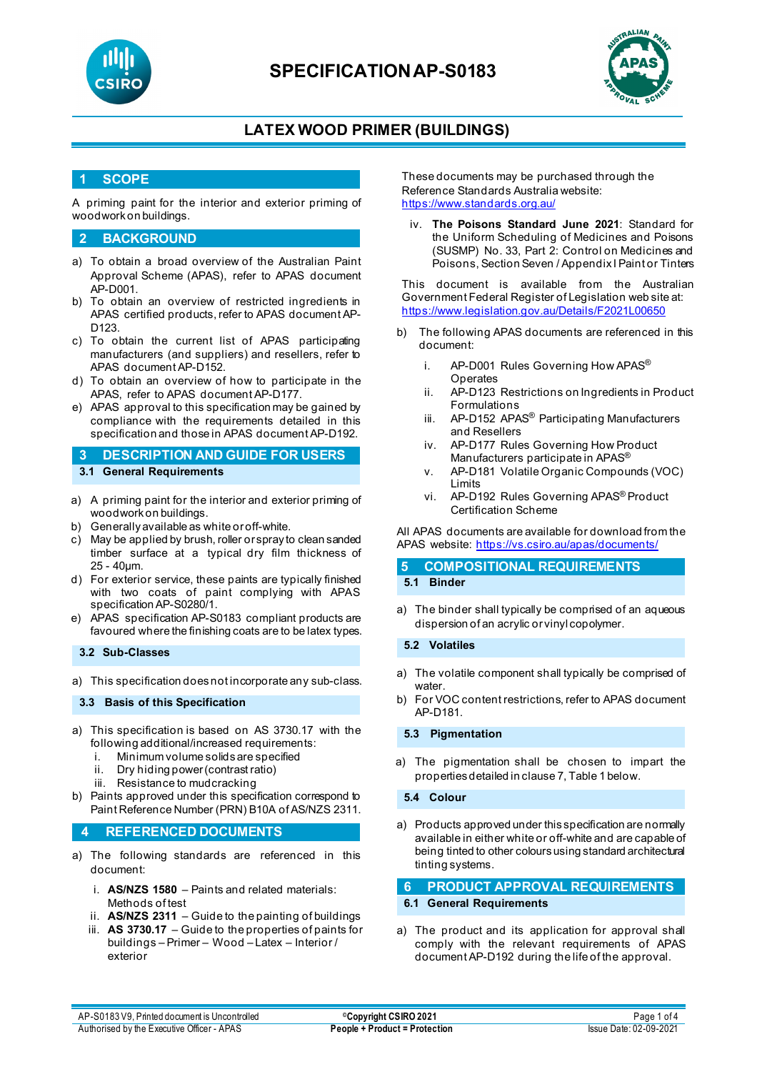



### **LATEX WOOD PRIMER (BUILDINGS)**

### **1 SCOPE**

A priming paint for the interior and exterior priming of woodwork on buildings.

#### **2 BACKGROUND**

- a) To obtain a broad overview of the Australian Paint Approval Scheme (APAS), refer to APAS document AP-D001.
- b) To obtain an overview of restricted ingredients in APAS certified products, refer to APAS document AP-D123.
- c) To obtain the current list of APAS participating manufacturers (and suppliers) and resellers, refer to APAS document AP-D152.
- d) To obtain an overview of how to participate in the APAS, refer to APAS document AP-D177.
- e) APAS approval to this specification may be gained by compliance with the requirements detailed in this specification and those in APAS document AP-D192.
- **3 DESCRIPTION AND GUIDE FOR USERS 3.1 General Requirements**
- a) A priming paint for the interior and exterior priming of woodwork on buildings.
- b) Generally available as white or off-white.
- c) May be applied by brush, roller or spray to clean sanded timber surface at a typical dry film thickness of 25 - 40µm.
- d) For exterior service, these paints are typically finished with two coats of paint complying with APAS specification AP-S0280/1.
- e) APAS specification AP-S0183 compliant products are favoured where the finishing coats are to be latex types.

**3.2 Sub-Classes**

a) This specification does not incorporate any sub-class.

**3.3 Basis of this Specification**

- a) This specification is based on AS 3730.17 with the following additional/increased requirements:
	- i. Minimum volume solids are specified
	- ii. Dry hiding power (contrast ratio)
	- iii. Resistance to mudcracking
- b) Paints approved under this specification correspond to Paint Reference Number (PRN) B10A of AS/NZS 2311.

#### **4 REFERENCED DOCUMENTS**

- a) The following standards are referenced in this document:
	- i. **AS/NZS 1580** Paints and related materials: Methods of test
	- ii. **AS/NZS 2311**  Guide to the painting of buildings
	- iii. **AS 3730.17** Guide to the properties of paints for buildings – Primer – Wood – Latex – Interior / exterior

These documents may be purchased through the Reference Standards Australia website: <https://www.standards.org.au/>

iv. **The Poisons Standard June 2021**: Standard for the Uniform Scheduling of Medicines and Poisons (SUSMP) No. 33, Part 2: Control on Medicines and Poisons, Section Seven / Appendix I Paint or Tinters

This document is available from the Australian Government Federal Register of Legislation web site at: <https://www.legislation.gov.au/Details/F2021L00650>

- b) The following APAS documents are referenced in this document:
	- i. AP-D001 Rules Governing How APAS<sup>®</sup> **Operates**
	- ii. AP-D123 Restrictions on Ingredients in Product Formulations
	- iii. AP-D152 APAS<sup>®</sup> Participating Manufacturers and Resellers
	- iv. AP-D177 Rules Governing How Product Manufacturers participate in APAS<sup>®</sup>
	- v. AP-D181 Volatile Organic Compounds (VOC) Limits
	- vi. AP-D192 Rules Governing APAS® Product Certification Scheme

All APAS documents are available for download from the APAS website: <https://vs.csiro.au/apas/documents/>

#### **5 COMPOSITIONAL REQUIREMENTS 5.1 Binder**

a) The binder shall typically be comprised of an aqueous dispersion of an acrylic or vinyl copolymer.

**5.2 Volatiles**

- a) The volatile component shall typically be comprised of water.
- b) For VOC content restrictions, refer to APAS document AP-D181.

**5.3 Pigmentation**

a) The pigmentation shall be chosen to impart the properties detailed in clause 7, Table 1 below.

**5.4 Colour**

a) Products approved under this specification are normally available in either white or off-white and are capable of being tinted to other colours using standard architectural tinting systems.

# **6 PRODUCT APPROVAL REQUIREMENTS**

### **6.1 General Requirements**

a) The product and its application for approval shall comply with the relevant requirements of APAS document AP-D192 during the life of the approval.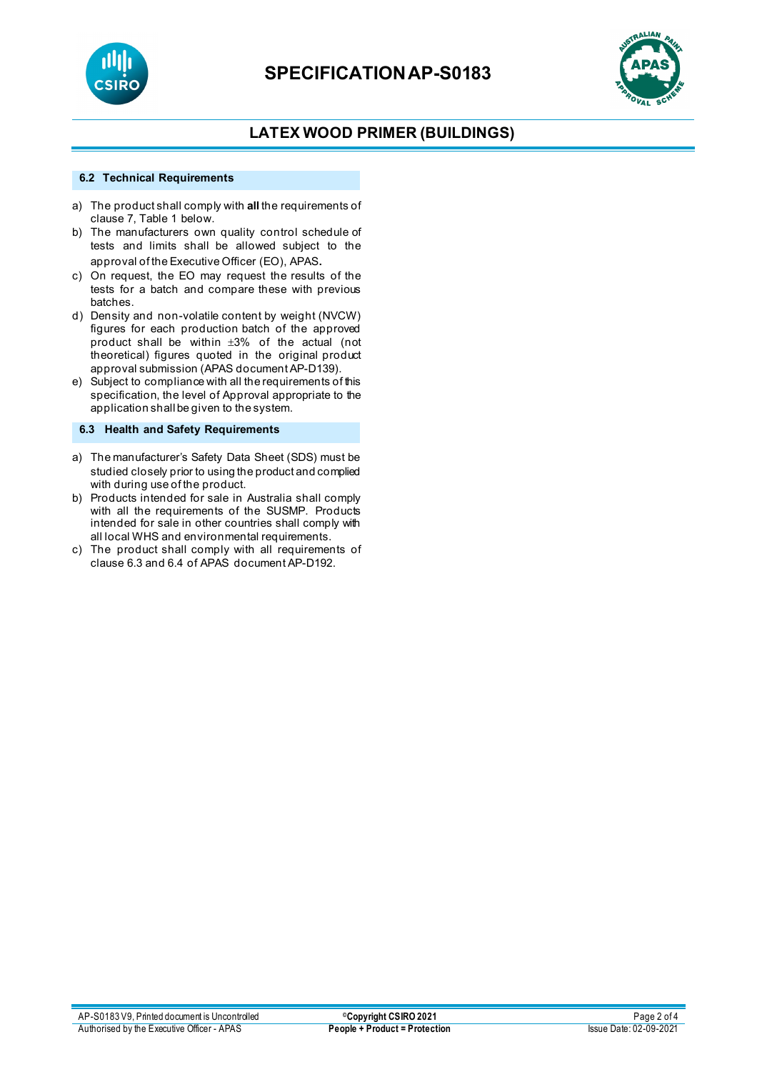



### **LATEX WOOD PRIMER (BUILDINGS)**

#### **6.2 Technical Requirements**

- a) The product shall comply with **all** the requirements of clause 7, Table 1 below.
- b) The manufacturers own quality control schedule of tests and limits shall be allowed subject to the approval of the Executive Officer (EO), APAS.
- c) On request, the EO may request the results of the tests for a batch and compare these with previous batches.
- d) Density and non-volatile content by weight (NVCW) figures for each production batch of the approved product shall be within ±3% of the actual (not theoretical) figures quoted in the original product approval submission (APAS document AP-D139).
- e) Subject to compliance with all the requirements of this specification, the level of Approval appropriate to the application shall be given to the system.

### **6.3 Health and Safety Requirements**

- a) The manufacturer's Safety Data Sheet (SDS) must be studied closely prior to using the product and complied with during use of the product.
- b) Products intended for sale in Australia shall comply with all the requirements of the SUSMP. Products intended for sale in other countries shall comply with all local WHS and environmental requirements.
- c) The product shall comply with all requirements of clause 6.3 and 6.4 of APAS document AP-D192.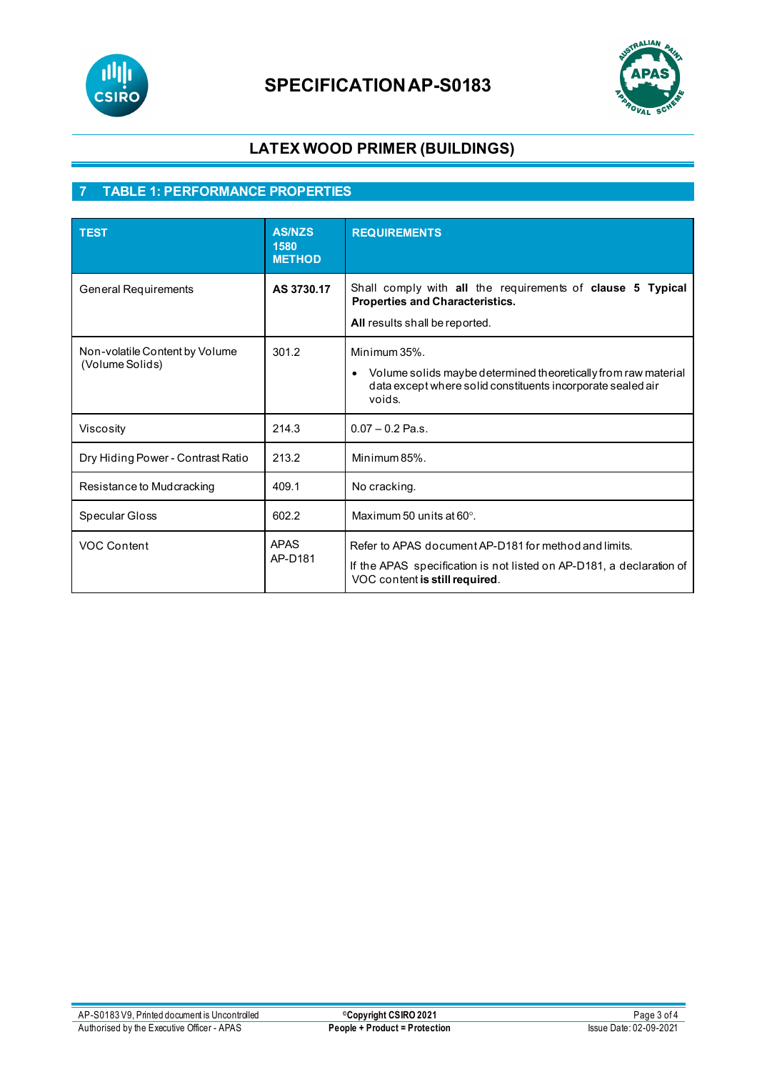

# **SPECIFICATIONAP-S0183**



### **LATEX WOOD PRIMER (BUILDINGS)**

### **7 TABLE 1: PERFORMANCE PROPERTIES**

| <b>TEST</b>                                       | <b>AS/NZS</b><br>1580<br><b>METHOD</b> | <b>REQUIREMENTS</b>                                                                                                                                                 |
|---------------------------------------------------|----------------------------------------|---------------------------------------------------------------------------------------------------------------------------------------------------------------------|
| <b>General Requirements</b>                       | AS 3730.17                             | Shall comply with all the requirements of clause 5 Typical<br>Properties and Characteristics.<br>All results shall be reported.                                     |
| Non-volatile Content by Volume<br>(Volume Solids) | 301.2                                  | Minimum 35%.<br>Volume solids maybe determined theoretically from raw material<br>$\bullet$<br>data except where solid constituents incorporate sealed air<br>voids |
| Viscosity                                         | 214.3                                  | $0.07 - 0.2$ Pa.s.                                                                                                                                                  |
| Dry Hiding Power - Contrast Ratio                 | 213.2                                  | Minimum 85%.                                                                                                                                                        |
| Resistance to Mudcracking                         | 409.1                                  | No cracking.                                                                                                                                                        |
| Specular Gloss                                    | 602.2                                  | Maximum 50 units at $60^\circ$ .                                                                                                                                    |
| VOC Content                                       | <b>APAS</b><br>AP-D181                 | Refer to APAS document AP-D181 for method and limits.<br>If the APAS specification is not listed on AP-D181, a declaration of<br>VOC content is still required.     |